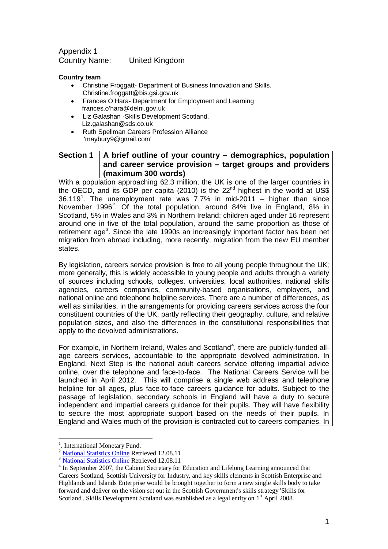Appendix 1 Country Name: United Kingdom

## **Country team**

- Christine Froggatt- Department of Business Innovation and Skills. Christine.froggatt@bis.gsi.gov.uk
- Frances O'Hara- Department for Employment and Learning frances.o'hara@delni.gov.uk
- Liz Galashan -Skills Development Scotland. Liz.galashan@sds.co.uk
- Ruth Spellman Careers Profession Alliance 'maybury9@gmail.com'

## **Section 1 A brief outline of your country – demographics, population and career service provision – target groups and providers (maximum 300 words)**

With a population approaching 62.3 million, the UK is one of the larger countries in the OECD, and its GDP per capita (2010) is the  $22<sup>nd</sup>$  highest in the world at US\$ 36,[1](#page-0-0)19<sup>1</sup>. The unemployment rate was 7.7% in mid-2011 – higher than since November 1996<sup>[2](#page-0-1)</sup>. Of the total population, around 84% live in England, 8% in Scotland, 5% in Wales and 3% in Northern Ireland; children aged under 16 represent around one in five of the total population, around the same proportion as those of retirement age<sup>[3](#page-0-2)</sup>. Since the late 1990s an increasingly important factor has been net migration from abroad including, more recently, migration from the new EU member states.

By legislation, careers service provision is free to all young people throughout the UK; more generally, this is widely accessible to young people and adults through a variety of sources including schools, colleges, universities, local authorities, national skills agencies, careers companies, community-based organisations, employers, and national online and telephone helpline services. There are a number of differences, as well as similarities, in the arrangements for providing careers services across the four constituent countries of the UK, partly reflecting their geography, culture, and relative population sizes, and also the differences in the constitutional responsibilities that apply to the devolved administrations.

For example, in Northern Ireland, Wales and Scotland<sup>[4](#page-0-3)</sup>, there are publicly-funded allage careers services, accountable to the appropriate devolved administration. In England, Next Step is the national adult careers service offering impartial advice online, over the telephone and face-to-face. The National Careers Service will be launched in April 2012. This will comprise a single web address and telephone helpline for all ages, plus face-to-face careers guidance for adults. Subject to the passage of legislation, secondary schools in England will have a duty to secure independent and impartial careers guidance for their pupils. They will have flexibility to secure the most appropriate support based on the needs of their pupils. In England and Wales much of the provision is contracted out to careers companies. In

 $\frac{1}{1}$ 

<span id="page-0-1"></span>

<span id="page-0-4"></span><span id="page-0-3"></span><span id="page-0-2"></span>

<span id="page-0-0"></span><sup>&</sup>lt;sup>1</sup>. International Monetary Fund.<br><sup>2</sup> [National Statistics Online](http://www.statistics.gov.uk/cci/nugget.asp?ID=6) Retrieved 12.08.11<br><sup>3</sup> National Statistics Online Retrieved 12.08.11<br><sup>4</sup> In September 2007, the Cabinet Secretary for Education and Lifelong Learning announ Careers Scotland, Scottish University for Industry, and key skills elements in Scottish Enterprise and Highlands and Islands Enterprise would be brought together to form a new single skills body to take forward and deliver on the vision set out in the Scottish Government's skills strategy 'Skills for Scotland'. Skills Development Scotland was established as a legal entity on 1<sup>st</sup> April 2008.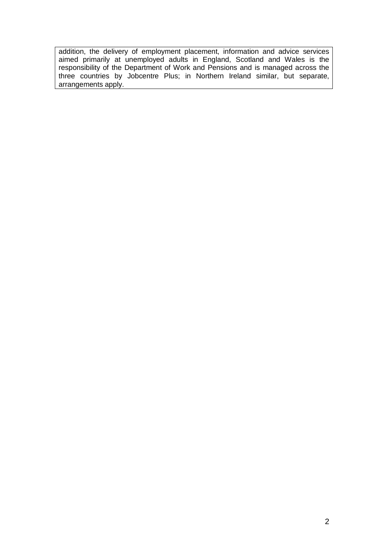addition, the delivery of employment placement, information and advice services aimed primarily at unemployed adults in England, Scotland and Wales is the responsibility of the Department of Work and Pensions and is managed across the three countries by Jobcentre Plus; in Northern Ireland similar, but separate, arrangements apply.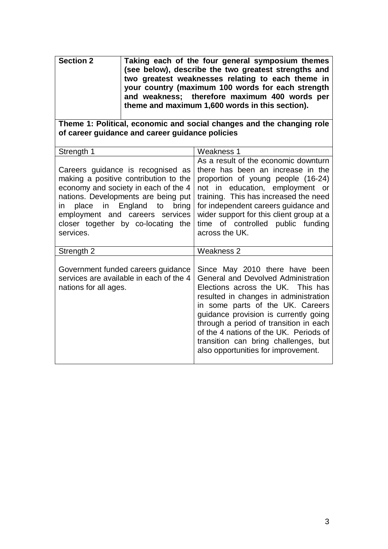| Taking each of the four general symposium themes<br>(see below), describe the two greatest strengths and<br>two greatest weaknesses relating to each theme in<br>your country (maximum 100 words for each strength<br>and weakness; therefore maximum 400 words per |
|---------------------------------------------------------------------------------------------------------------------------------------------------------------------------------------------------------------------------------------------------------------------|
| theme and maximum 1,600 words in this section).                                                                                                                                                                                                                     |
|                                                                                                                                                                                                                                                                     |

**Theme 1: Political, economic and social changes and the changing role of career guidance and career guidance policies**

| Strength 1                                                                                                                                                                                                                                                                         | Weakness 1                                                                                                                                                                                                                                                                                                                                                                                          |
|------------------------------------------------------------------------------------------------------------------------------------------------------------------------------------------------------------------------------------------------------------------------------------|-----------------------------------------------------------------------------------------------------------------------------------------------------------------------------------------------------------------------------------------------------------------------------------------------------------------------------------------------------------------------------------------------------|
| Careers guidance is recognised as<br>making a positive contribution to the<br>economy and society in each of the 4<br>nations. Developments are being put<br>in place in England to<br>bring<br>employment and careers services<br>closer together by co-locating the<br>services. | As a result of the economic downturn<br>there has been an increase in the<br>proportion of young people (16-24)<br>not in education, employment or<br>training. This has increased the need<br>for independent careers guidance and<br>wider support for this client group at a<br>time of controlled public funding<br>across the UK.                                                              |
| Strength 2                                                                                                                                                                                                                                                                         | Weakness 2                                                                                                                                                                                                                                                                                                                                                                                          |
| Government funded careers guidance<br>services are available in each of the 4<br>nations for all ages.                                                                                                                                                                             | Since May 2010 there have been<br>General and Devolved Administration<br>Elections across the UK. This has<br>resulted in changes in administration<br>in some parts of the UK. Careers<br>guidance provision is currently going<br>through a period of transition in each<br>of the 4 nations of the UK. Periods of<br>transition can bring challenges, but<br>also opportunities for improvement. |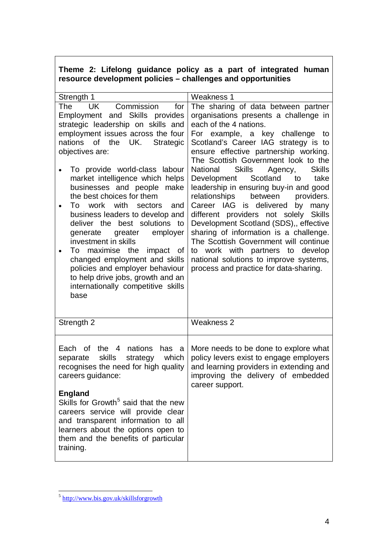## **Theme 2: Lifelong guidance policy as a part of integrated human resource development policies – challenges and opportunities**

| Strength 1                                                                                                                                                                                                                               | <b>Weakness 1</b>                                                                                                                                                                                                                                         |
|------------------------------------------------------------------------------------------------------------------------------------------------------------------------------------------------------------------------------------------|-----------------------------------------------------------------------------------------------------------------------------------------------------------------------------------------------------------------------------------------------------------|
| <b>UK</b><br>Commission<br>The<br>for<br>Employment and Skills provides                                                                                                                                                                  | The sharing of data between partner<br>organisations presents a challenge in                                                                                                                                                                              |
| strategic leadership on skills and                                                                                                                                                                                                       | each of the 4 nations.                                                                                                                                                                                                                                    |
| employment issues across the four                                                                                                                                                                                                        | For example, a key challenge<br>to                                                                                                                                                                                                                        |
| nations<br>of the<br>UK.<br>Strategic                                                                                                                                                                                                    | Scotland's Career IAG strategy is to                                                                                                                                                                                                                      |
| objectives are:                                                                                                                                                                                                                          | ensure effective partnership working.                                                                                                                                                                                                                     |
| To provide world-class labour<br>market intelligence which helps                                                                                                                                                                         | The Scottish Government look to the<br>National<br><b>Skills</b><br><b>Skills</b><br>Agency,<br>Scotland<br>take<br>Development<br>to                                                                                                                     |
| businesses and people<br>make                                                                                                                                                                                                            | leadership in ensuring buy-in and good                                                                                                                                                                                                                    |
| the best choices for them                                                                                                                                                                                                                | between<br>relationships<br>providers.                                                                                                                                                                                                                    |
| with<br>To<br>work<br>sectors<br>and<br>business leaders to develop and<br>deliver the best solutions to<br>employer<br>greater<br>generate<br>investment in skills<br>To maximise the<br>impact of<br>٠                                 | Career IAG is delivered<br>by<br>many<br>different providers not solely<br><b>Skills</b><br>Development Scotland (SDS),, effective<br>sharing of information is a challenge.<br>The Scottish Government will continue<br>to work with partners to develop |
| changed employment and skills<br>policies and employer behaviour<br>to help drive jobs, growth and an<br>internationally competitive skills<br>base                                                                                      | national solutions to improve systems,<br>process and practice for data-sharing.                                                                                                                                                                          |
| Strength 2                                                                                                                                                                                                                               | <b>Weakness 2</b>                                                                                                                                                                                                                                         |
| the<br>nations<br>Each of<br>$\overline{4}$<br>has<br>a<br>skills<br>strategy<br>which<br>separate<br>recognises the need for high quality<br>careers guidance:                                                                          | More needs to be done to explore what<br>policy levers exist to engage employers<br>and learning providers in extending and<br>improving the delivery of embedded<br>career support.                                                                      |
| <b>England</b><br>Skills for Growth <sup>5</sup> said that the new<br>careers service will provide clear<br>and transparent information to all<br>learners about the options open to<br>them and the benefits of particular<br>training. |                                                                                                                                                                                                                                                           |

<span id="page-3-0"></span><sup>5</sup> <http://www.bis.gov.uk/skillsforgrowth>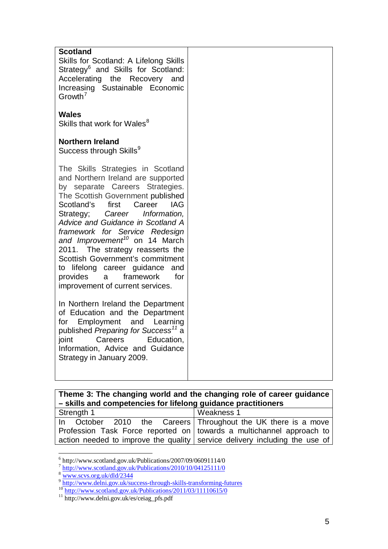| <b>Scotland</b><br>Skills for Scotland: A Lifelong Skills<br>Strategy <sup>6</sup> and Skills for Scotland:<br>Accelerating the Recovery and<br>Increasing Sustainable Economic<br>Growth <sup>7</sup>                                                                                                                                                                                                                                                                                                                        |  |
|-------------------------------------------------------------------------------------------------------------------------------------------------------------------------------------------------------------------------------------------------------------------------------------------------------------------------------------------------------------------------------------------------------------------------------------------------------------------------------------------------------------------------------|--|
| <b>Wales</b><br>Skills that work for Wales <sup>8</sup>                                                                                                                                                                                                                                                                                                                                                                                                                                                                       |  |
| <b>Northern Ireland</b><br>Success through Skills <sup>9</sup>                                                                                                                                                                                                                                                                                                                                                                                                                                                                |  |
| The Skills Strategies in Scotland<br>and Northern Ireland are supported<br>by separate Careers Strategies.<br>The Scottish Government published<br>Scotland's first Career<br>IAG<br>Strategy; Career Information,<br>Advice and Guidance in Scotland A<br>framework for Service Redesign<br>and Improvement <sup>10</sup> on 14 March<br>2011. The strategy reasserts the<br>Scottish Government's commitment<br>to lifelong career guidance<br>and<br>provides<br>framework<br>for<br>a<br>improvement of current services. |  |
| In Northern Ireland the Department<br>of Education and the Department<br>for Employment and Learning<br>published Preparing for Success <sup>11</sup> a<br>joint<br>Careers<br>Education,<br>Information, Advice and Guidance<br>Strategy in January 2009.                                                                                                                                                                                                                                                                    |  |

| Theme 3: The changing world and the changing role of career guidance<br>- skills and competencies for lifelong guidance practitioners |              |  |  |
|---------------------------------------------------------------------------------------------------------------------------------------|--------------|--|--|
| Strength 1                                                                                                                            | l Weakness 1 |  |  |
| In October 2010 the Careers Throughout the UK there is a move                                                                         |              |  |  |
| Profession Task Force reported on   towards a multichannel approach to                                                                |              |  |  |
| action needed to improve the quality   service delivery including the use of                                                          |              |  |  |

 $\frac{6}{6}$  http://www.scotland.gov.uk/Publications/2007/09/06091114/0

<span id="page-4-0"></span><sup>&</sup>lt;sup>7</sup> <http://www.scotland.gov.uk/Publications/2010/10/04125111/0>

<sup>8</sup> [www.scvs.org.uk/dld/2344](http://www.scvs.org.uk/dld/2344)

<sup>&</sup>lt;sup>9</sup> <http://www.delni.gov.uk/success-through-skills-transforming-futures><br><sup>10</sup> <http://www.scotland.gov.uk/Publications/2011/03/11110615/0><br><sup>11</sup> http://www.delni.gov.uk/es/ceiag\_pfs.pdf

<span id="page-4-1"></span>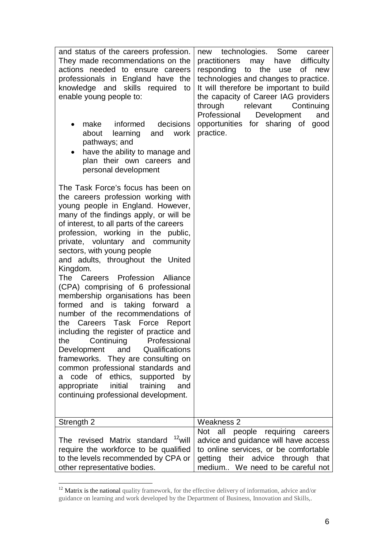| and status of the careers profession.<br>They made recommendations on the<br>actions needed to ensure careers<br>professionals in England have the<br>knowledge and skills required<br>to<br>enable young people to:<br>decisions<br>make<br>informed<br>$\bullet$<br>learning<br>and<br>about<br>work<br>pathways; and<br>have the ability to manage and<br>plan their own careers and<br>personal development                                                                                                                                                                                                                                                                                                                                                                                                                                                                                                                 | technologies. Some<br>new<br>career<br>difficulty<br>practitioners<br>may<br>have<br>responding<br>to<br>the<br>οf<br>new<br>use<br>technologies and changes to practice.<br>It will therefore be important to build<br>the capacity of Career IAG providers<br>through<br>relevant<br>Continuing<br>Professional<br>Development<br>and<br>opportunities for sharing of good<br>practice. |
|---------------------------------------------------------------------------------------------------------------------------------------------------------------------------------------------------------------------------------------------------------------------------------------------------------------------------------------------------------------------------------------------------------------------------------------------------------------------------------------------------------------------------------------------------------------------------------------------------------------------------------------------------------------------------------------------------------------------------------------------------------------------------------------------------------------------------------------------------------------------------------------------------------------------------------|-------------------------------------------------------------------------------------------------------------------------------------------------------------------------------------------------------------------------------------------------------------------------------------------------------------------------------------------------------------------------------------------|
| The Task Force's focus has been on<br>the careers profession working with<br>young people in England. However,<br>many of the findings apply, or will be<br>of interest, to all parts of the careers<br>profession, working in the public,<br>private, voluntary and community<br>sectors, with young people<br>and adults, throughout the United<br>Kingdom.<br>The Careers Profession<br>Alliance<br>(CPA) comprising of 6 professional<br>membership organisations has been<br>formed and is taking forward<br>- a<br>number of the recommendations of<br>the Careers<br>Task Force Report<br>including the register of practice and<br>Professional<br>Continuing<br>the<br>Qualifications<br>Development<br>and<br>frameworks. They are consulting on<br>common professional standards and<br>code of ethics,<br>supported<br>by<br>а<br>initial<br>training<br>appropriate<br>and<br>continuing professional development. |                                                                                                                                                                                                                                                                                                                                                                                           |
| Strength 2                                                                                                                                                                                                                                                                                                                                                                                                                                                                                                                                                                                                                                                                                                                                                                                                                                                                                                                      | Weakness 2                                                                                                                                                                                                                                                                                                                                                                                |
| The revised Matrix standard <sup>12</sup> will<br>require the workforce to be qualified<br>to the levels recommended by CPA or<br>other representative bodies.                                                                                                                                                                                                                                                                                                                                                                                                                                                                                                                                                                                                                                                                                                                                                                  | Not all people requiring<br>careers<br>advice and guidance will have access<br>to online services, or be comfortable<br>getting their advice through that<br>medium We need to be careful not                                                                                                                                                                                             |

<span id="page-5-0"></span><sup>&</sup>lt;sup>12</sup> Matrix is the national quality framework, for the effective delivery of information, advice and/or guidance on learning and work developed by the Department of Business, Innovation and Skills,.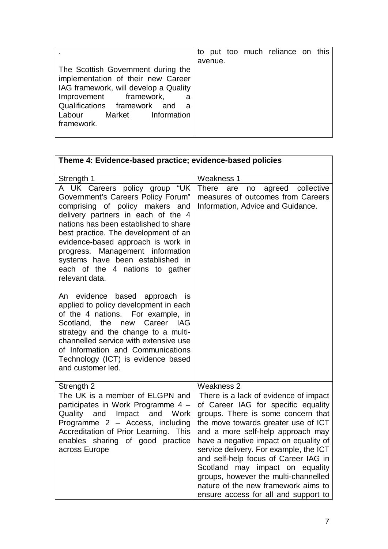|                                       |         |  | to put too much reliance on this |  |
|---------------------------------------|---------|--|----------------------------------|--|
|                                       | avenue. |  |                                  |  |
| The Scottish Government during the    |         |  |                                  |  |
| implementation of their new Career    |         |  |                                  |  |
| IAG framework, will develop a Quality |         |  |                                  |  |
| Improvement framework,<br>a           |         |  |                                  |  |
| Qualifications framework and<br>a     |         |  |                                  |  |
| Labour Market Information             |         |  |                                  |  |
| framework.                            |         |  |                                  |  |
|                                       |         |  |                                  |  |

| Theme 4: Evidence-based practice; evidence-based policies                                                                                                                                                                                                                                                                                                                                           |                                                                                                                                                                                                                                                                                                                                                                                                                                                                                     |
|-----------------------------------------------------------------------------------------------------------------------------------------------------------------------------------------------------------------------------------------------------------------------------------------------------------------------------------------------------------------------------------------------------|-------------------------------------------------------------------------------------------------------------------------------------------------------------------------------------------------------------------------------------------------------------------------------------------------------------------------------------------------------------------------------------------------------------------------------------------------------------------------------------|
| Strength 1                                                                                                                                                                                                                                                                                                                                                                                          | <b>Weakness 1</b>                                                                                                                                                                                                                                                                                                                                                                                                                                                                   |
| A UK Careers policy group<br>"UK<br>Government's Careers Policy Forum"<br>comprising of policy makers and<br>delivery partners in each of the 4<br>nations has been established to share<br>best practice. The development of an<br>evidence-based approach is work in<br>progress. Management information<br>systems have been established in<br>each of the 4 nations to gather<br>relevant data. | agreed collective<br>There<br>are<br>no<br>measures of outcomes from Careers<br>Information, Advice and Guidance.                                                                                                                                                                                                                                                                                                                                                                   |
| An evidence based approach is<br>applied to policy development in each<br>of the 4 nations. For example, in<br>Scotland, the new Career IAG<br>strategy and the change to a multi-<br>channelled service with extensive use<br>of Information and Communications<br>Technology (ICT) is evidence based<br>and customer led.                                                                         |                                                                                                                                                                                                                                                                                                                                                                                                                                                                                     |
| Strength 2                                                                                                                                                                                                                                                                                                                                                                                          | <b>Weakness 2</b>                                                                                                                                                                                                                                                                                                                                                                                                                                                                   |
| The UK is a member of ELGPN and<br>participates in Work Programme 4 -<br>Impact and<br>Quality and<br>Work<br>Programme 2 - Access, including<br>Accreditation of Prior Learning. This<br>enables sharing of good practice<br>across Europe                                                                                                                                                         | There is a lack of evidence of impact<br>of Career IAG for specific equality<br>groups. There is some concern that<br>the move towards greater use of ICT<br>and a more self-help approach may<br>have a negative impact on equality of<br>service delivery. For example, the ICT<br>and self-help focus of Career IAG in<br>Scotland may impact on equality<br>groups, however the multi-channelled<br>nature of the new framework aims to<br>ensure access for all and support to |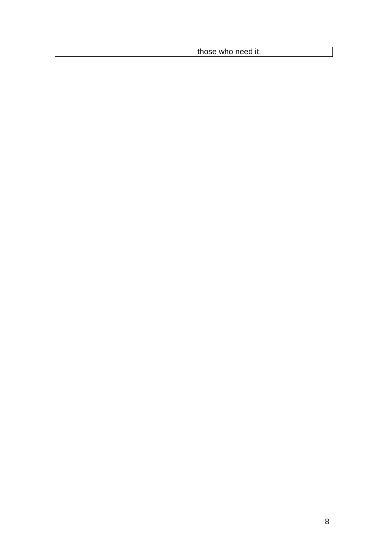| m<br>W. |                                |
|---------|--------------------------------|
|         | .ed it. ۔۔۔۔۔۔۔۔۔۔۔۔۔۔۔۔۔۔۔۔۔۔ |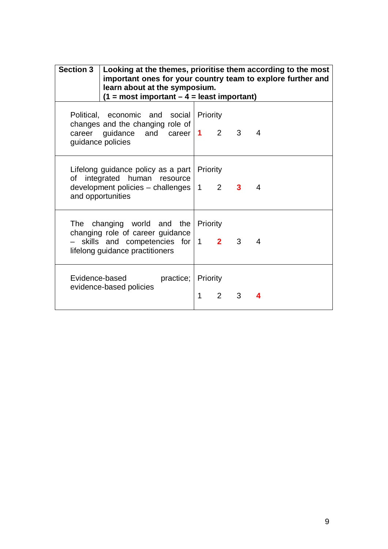| <b>Section 3</b> | Looking at the themes, prioritise them according to the most<br>important ones for your country team to explore further and<br>learn about at the symposium.<br>$(1 = most important - 4 = least important)$ |               |             |                             |  |
|------------------|--------------------------------------------------------------------------------------------------------------------------------------------------------------------------------------------------------------|---------------|-------------|-----------------------------|--|
|                  | Political, economic and social Priority<br>changes and the changing role of<br>career guidance and career $1$ 2 3 4<br>guidance policies                                                                     |               |             |                             |  |
|                  | Lifelong guidance policy as a part   Priority<br>of integrated human resource<br>development policies - challenges<br>and opportunities                                                                      |               |             | $1 \quad 2 \quad 3 \quad 4$ |  |
|                  | The changing world and the Priority<br>changing role of career guidance<br>- skills and competencies for   1 2 3 4<br>lifelong guidance practitioners                                                        |               |             |                             |  |
|                  | Evidence-based<br>practice;<br>evidence-based policies                                                                                                                                                       | Priority<br>1 | $2^{\circ}$ | 3                           |  |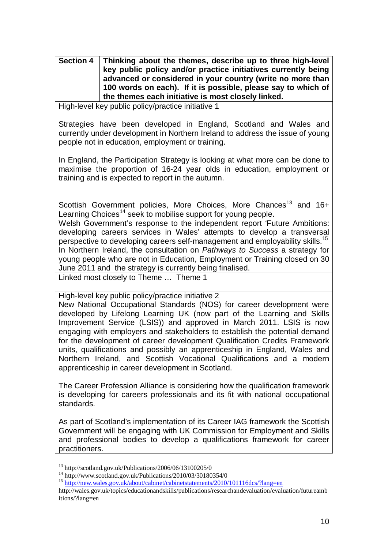**Section 4 Thinking about the themes, describe up to three high-level key public policy and/or practice initiatives currently being advanced or considered in your country (write no more than 100 words on each). If it is possible, please say to which of the themes each initiative is most closely linked.** 

High-level key public policy/practice initiative 1

Strategies have been developed in England, Scotland and Wales and currently under development in Northern Ireland to address the issue of young people not in education, employment or training.

In England, the Participation Strategy is looking at what more can be done to maximise the proportion of 16-24 year olds in education, employment or training and is expected to report in the autumn.

Scottish Government policies, More Choices, More Chances<sup>[13](#page-5-0)</sup> and 16+ Learning Choices<sup>[14](#page-9-0)</sup> seek to mobilise support for young people.

Welsh Government's response to the independent report 'Future Ambitions: developing careers services in Wales' attempts to develop a transversal perspective to developing careers self-management and employability skills.<sup>[15](#page-9-0)</sup> In Northern Ireland, the consultation on *Pathways to Success* a strategy for young people who are not in Education, Employment or Training closed on 30 June 2011 andthe strategy is currently being finalised.

Linked most closely to Theme … Theme 1

High-level key public policy/practice initiative 2

New National Occupational Standards (NOS) for career development were developed by Lifelong Learning UK (now part of the Learning and Skills Improvement Service (LSIS)) and approved in March 2011. LSIS is now engaging with employers and stakeholders to establish the potential demand for the development of career development Qualification Credits Framework units, qualifications and possibly an apprenticeship in England, Wales and Northern Ireland, and Scottish Vocational Qualifications and a modern apprenticeship in career development in Scotland.

The Career Profession Alliance is considering how the qualification framework is developing for careers professionals and its fit with national occupational standards.

As part of Scotland's implementation of its Career IAG framework the Scottish Government will be engaging with UK Commission for Employment and Skills and professional bodies to develop a qualifications framework for career practitioners.

<span id="page-9-0"></span><sup>13</sup> http://scotland.gov.uk/Publications/2006/06/13100205/0<br><sup>14</sup> http://www.scotland.gov.uk/Publications/2010/03/30180354/0<br><sup>15</sup> http://new.wales.gov.uk/about/cab<u>inet/cabinetstatements/2010/101116dcs/?lang=en</u>

<span id="page-9-1"></span>http://wales.gov.uk/topics/educationandskills/publications/researchandevaluation/evaluation/futureamb itions/?lang=en